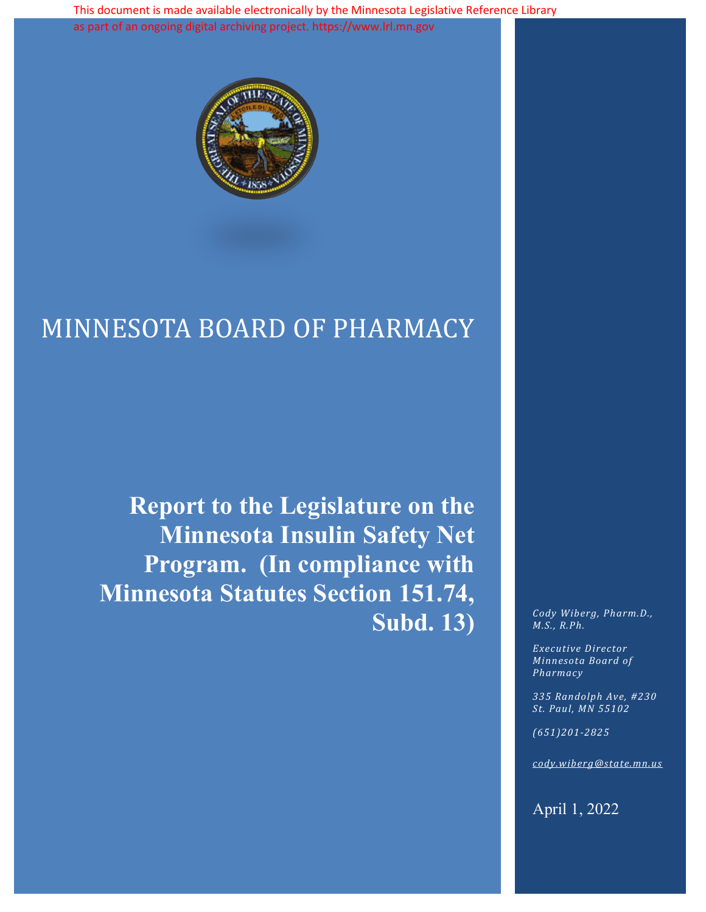This document is made available electronically by the Minnesota Legislative Reference Library as part of an ongoing digital archiving project. https://www.lrl.mn.gov



# MINNESOTA BOARD OF PHARMACY

**Report to the Legislature on the Minnesota Insulin Safety Net Program. (In compliance with Minnesota Statutes Section 151.74,**  Subd. 13) Cody Wiberg, Pharm.D.,

*M.S., R.Ph.*

*Executive Director Minnesota Board of Pharmacy*

*335 Randolph Ave, #230 St. Paul, MN 55102*

*(651)201-2825*

*cody.wiberg@state.mn.us*

April 1, 2022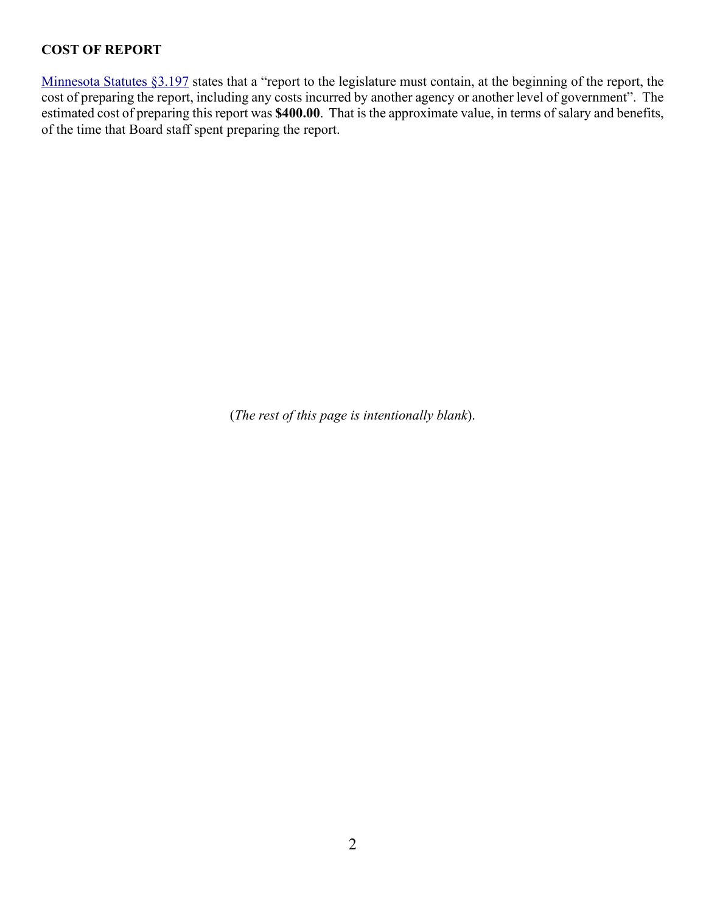# **COST OF REPORT**

[Minnesota Statutes §3.197](https://www.revisor.mn.gov/statutes/?id=3.197) states that a "report to the legislature must contain, at the beginning of the report, the cost of preparing the report, including any costs incurred by another agency or another level of government". The estimated cost of preparing this report was **\$400.00**. That is the approximate value, in terms of salary and benefits, of the time that Board staff spent preparing the report.

(*The rest of this page is intentionally blank*).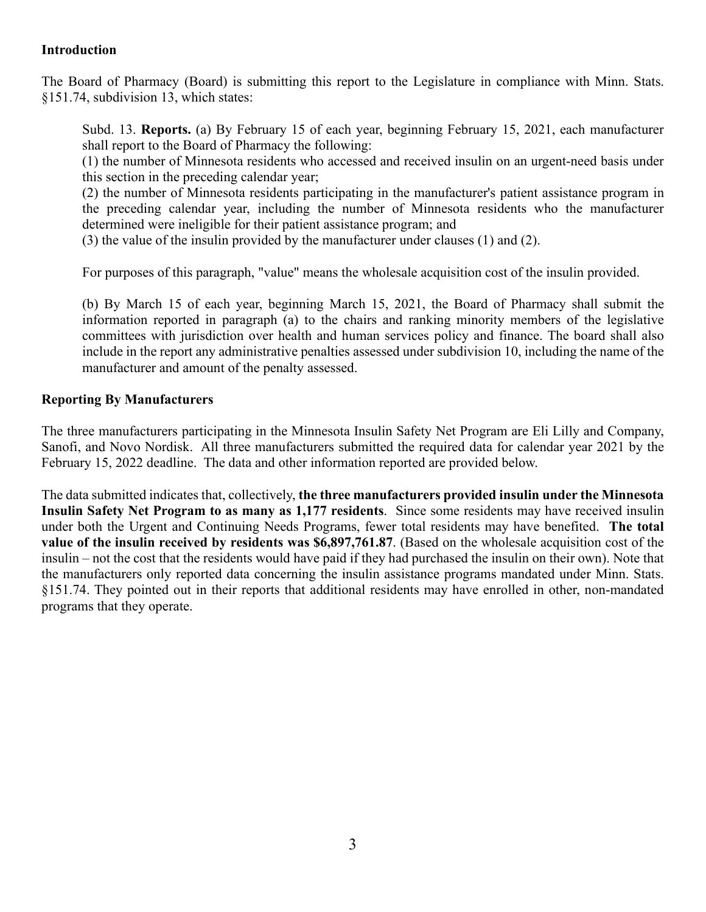### **Introduction**

The Board of Pharmacy (Board) is submitting this report to the Legislature in compliance with Minn. Stats. §151.74, subdivision 13, which states:

Subd. 13. **Reports.** (a) By February 15 of each year, beginning February 15, 2021, each manufacturer shall report to the Board of Pharmacy the following:

(1) the number of Minnesota residents who accessed and received insulin on an urgent-need basis under this section in the preceding calendar year;

(2) the number of Minnesota residents participating in the manufacturer's patient assistance program in the preceding calendar year, including the number of Minnesota residents who the manufacturer determined were ineligible for their patient assistance program; and

(3) the value of the insulin provided by the manufacturer under clauses (1) and (2).

For purposes of this paragraph, "value" means the wholesale acquisition cost of the insulin provided.

(b) By March 15 of each year, beginning March 15, 2021, the Board of Pharmacy shall submit the information reported in paragraph (a) to the chairs and ranking minority members of the legislative committees with jurisdiction over health and human services policy and finance. The board shall also include in the report any administrative penalties assessed under subdivision 10, including the name of the manufacturer and amount of the penalty assessed.

#### **Reporting By Manufacturers**

The three manufacturers participating in the Minnesota Insulin Safety Net Program are Eli Lilly and Company, Sanofi, and Novo Nordisk. All three manufacturers submitted the required data for calendar year 2021 by the February 15, 2022 deadline. The data and other information reported are provided below.

The data submitted indicates that, collectively, **the three manufacturers provided insulin under the Minnesota Insulin Safety Net Program to as many as 1,177 residents**. Since some residents may have received insulin under both the Urgent and Continuing Needs Programs, fewer total residents may have benefited. **The total value of the insulin received by residents was \$6,897,761.87**. (Based on the wholesale acquisition cost of the insulin – not the cost that the residents would have paid if they had purchased the insulin on their own). Note that the manufacturers only reported data concerning the insulin assistance programs mandated under Minn. Stats. §151.74. They pointed out in their reports that additional residents may have enrolled in other, non-mandated programs that they operate.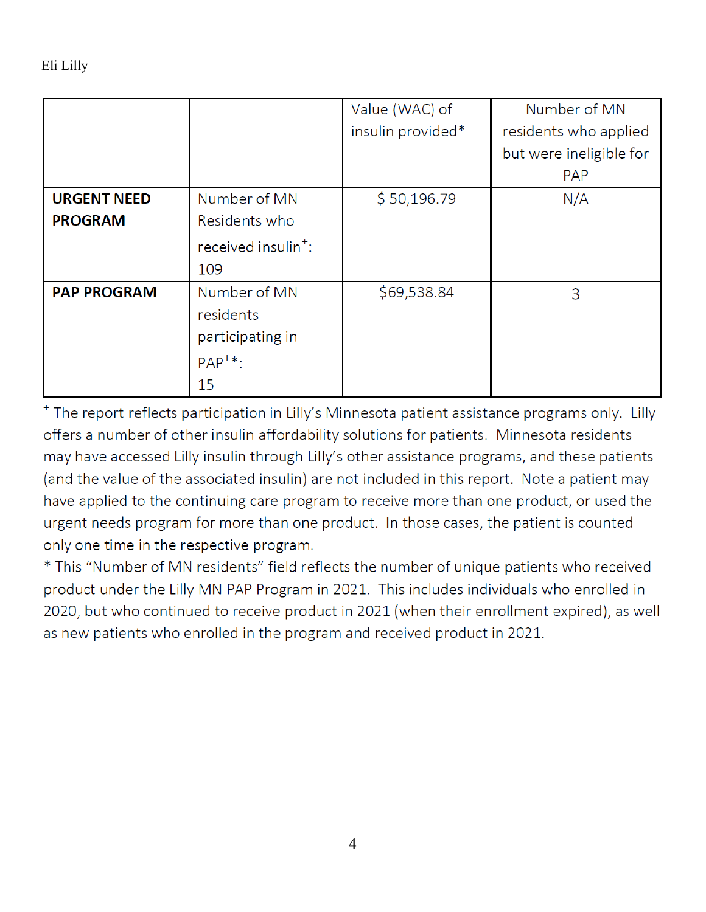|                    |                                 | Value (WAC) of    | Number of MN            |
|--------------------|---------------------------------|-------------------|-------------------------|
|                    |                                 | insulin provided* | residents who applied   |
|                    |                                 |                   | but were ineligible for |
|                    |                                 |                   | <b>PAP</b>              |
| <b>URGENT NEED</b> | Number of MN                    | \$50,196.79       | N/A                     |
| <b>PROGRAM</b>     | Residents who                   |                   |                         |
|                    | received insulin <sup>+</sup> : |                   |                         |
|                    | 109                             |                   |                         |
| <b>PAP PROGRAM</b> | Number of MN                    | \$69,538.84       | 3                       |
|                    | residents                       |                   |                         |
|                    | participating in                |                   |                         |
|                    | $PAP^{+*}$ :                    |                   |                         |
|                    | 15                              |                   |                         |

<sup>+</sup> The report reflects participation in Lilly's Minnesota patient assistance programs only. Lilly offers a number of other insulin affordability solutions for patients. Minnesota residents may have accessed Lilly insulin through Lilly's other assistance programs, and these patients (and the value of the associated insulin) are not included in this report. Note a patient may have applied to the continuing care program to receive more than one product, or used the urgent needs program for more than one product. In those cases, the patient is counted only one time in the respective program.

\* This "Number of MN residents" field reflects the number of unique patients who received product under the Lilly MN PAP Program in 2021. This includes individuals who enrolled in 2020, but who continued to receive product in 2021 (when their enrollment expired), as well as new patients who enrolled in the program and received product in 2021.